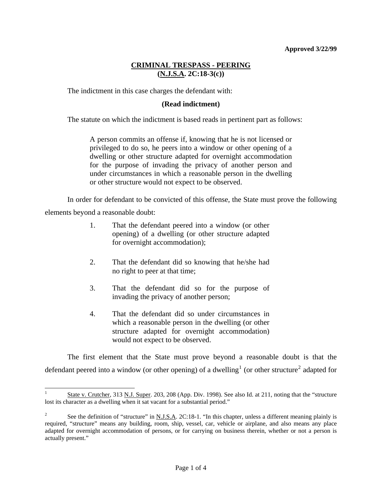## **CRIMINAL TRESPASS - PEERING (N.J.S.A. 2C:18-3(c))**

The indictment in this case charges the defendant with:

#### **(Read indictment)**

The statute on which the indictment is based reads in pertinent part as follows:

A person commits an offense if, knowing that he is not licensed or privileged to do so, he peers into a window or other opening of a dwelling or other structure adapted for overnight accommodation for the purpose of invading the privacy of another person and under circumstances in which a reasonable person in the dwelling or other structure would not expect to be observed.

 In order for defendant to be convicted of this offense, the State must prove the following elements beyond a reasonable doubt:

- 1. That the defendant peered into a window (or other opening) of a dwelling (or other structure adapted for overnight accommodation);
- 2. That the defendant did so knowing that he/she had no right to peer at that time;
- 3. That the defendant did so for the purpose of invading the privacy of another person;
- 4. That the defendant did so under circumstances in which a reasonable person in the dwelling (or other structure adapted for overnight accommodation) would not expect to be observed.

l

 The first element that the State must prove beyond a reasonable doubt is that the defendant peered into a window (or other opening) of a dwelling<sup>[1](#page-3-0)</sup> (or other structure<sup>[2](#page-0-0)</sup> adapted for

<sup>1</sup> State v. Crutcher, 313 N.J. Super. 203, 208 (App. Div. 1998). See also Id. at 211, noting that the "structure lost its character as a dwelling when it sat vacant for a substantial period."

<span id="page-0-1"></span><span id="page-0-0"></span><sup>2</sup> See the definition of "structure" in N.J.S.A. 2C:18-1. "In this chapter, unless a different meaning plainly is required, "structure" means any building, room, ship, vessel, car, vehicle or airplane, and also means any place adapted for overnight accommodation of persons, or for carrying on business therein, whether or not a person is actually present."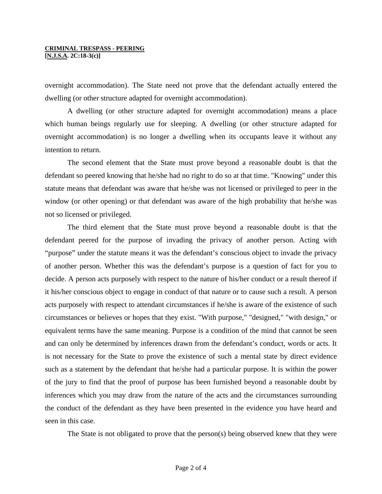# **CRIMINAL TRESPASS - PEERING**

**[N.J.S.A. 2C:18-3(c)]** 

overnight accommodation). The State need not prove that the defendant actually entered the dwelling (or other structure adapted for overnight accommodation).

 A dwelling (or other structure adapted for overnight accommodation) means a place which human beings regularly use for sleeping. A dwelling (or other structure adapted for overnight accommodation) is no longer a dwelling when its occupants leave it without any intention to return.

 The second element that the State must prove beyond a reasonable doubt is that the defendant so peered knowing that he/she had no right to do so at that time. "Knowing" under this statute means that defendant was aware that he/she was not licensed or privileged to peer in the window (or other opening) or that defendant was aware of the high probability that he/she was not so licensed or privileged.

 The third element that the State must prove beyond a reasonable doubt is that the defendant peered for the purpose of invading the privacy of another person. Acting with "purpose" under the statute means it was the defendant's conscious object to invade the privacy of another person. Whether this was the defendant's purpose is a question of fact for you to decide. A person acts purposely with respect to the nature of his/her conduct or a result thereof if it his/her conscious object to engage in conduct of that nature or to cause such a result. A person acts purposely with respect to attendant circumstances if he/she is aware of the existence of such circumstances or believes or hopes that they exist. "With purpose," "designed," "with design," or equivalent terms have the same meaning. Purpose is a condition of the mind that cannot be seen and can only be determined by inferences drawn from the defendant's conduct, words or acts. It is not necessary for the State to prove the existence of such a mental state by direct evidence such as a statement by the defendant that he/she had a particular purpose. It is within the power of the jury to find that the proof of purpose has been furnished beyond a reasonable doubt by inferences which you may draw from the nature of the acts and the circumstances surrounding the conduct of the defendant as they have been presented in the evidence you have heard and seen in this case.

The State is not obligated to prove that the person(s) being observed knew that they were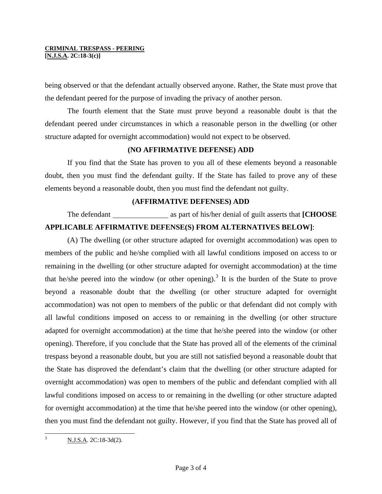**[N.J.S.A. 2C:18-3(c)]** 

being observed or that the defendant actually observed anyone. Rather, the State must prove that the defendant peered for the purpose of invading the privacy of another person.

 The fourth element that the State must prove beyond a reasonable doubt is that the defendant peered under circumstances in which a reasonable person in the dwelling (or other structure adapted for overnight accommodation) would not expect to be observed.

# **(NO AFFIRMATIVE DEFENSE) ADD**

 If you find that the State has proven to you all of these elements beyond a reasonable doubt, then you must find the defendant guilty. If the State has failed to prove any of these elements beyond a reasonable doubt, then you must find the defendant not guilty.

### **(AFFIRMATIVE DEFENSES) ADD**

The defendant as part of his/her denial of guilt asserts that **[CHOOSE APPLICABLE AFFIRMATIVE DEFENSE(S) FROM ALTERNATIVES BELOW]**:

 (A) The dwelling (or other structure adapted for overnight accommodation) was open to members of the public and he/she complied with all lawful conditions imposed on access to or remaining in the dwelling (or other structure adapted for overnight accommodation) at the time that he/she peered into the window (or other opening).<sup>[3](#page-0-1)</sup> It is the burden of the State to prove beyond a reasonable doubt that the dwelling (or other structure adapted for overnight accommodation) was not open to members of the public or that defendant did not comply with all lawful conditions imposed on access to or remaining in the dwelling (or other structure adapted for overnight accommodation) at the time that he/she peered into the window (or other opening). Therefore, if you conclude that the State has proved all of the elements of the criminal trespass beyond a reasonable doubt, but you are still not satisfied beyond a reasonable doubt that the State has disproved the defendant's claim that the dwelling (or other structure adapted for overnight accommodation) was open to members of the public and defendant complied with all lawful conditions imposed on access to or remaining in the dwelling (or other structure adapted for overnight accommodation) at the time that he/she peered into the window (or other opening), then you must find the defendant not guilty. However, if you find that the State has proved all of

<span id="page-2-0"></span> 3 N.J.S.A. 2C:18-3d(2).